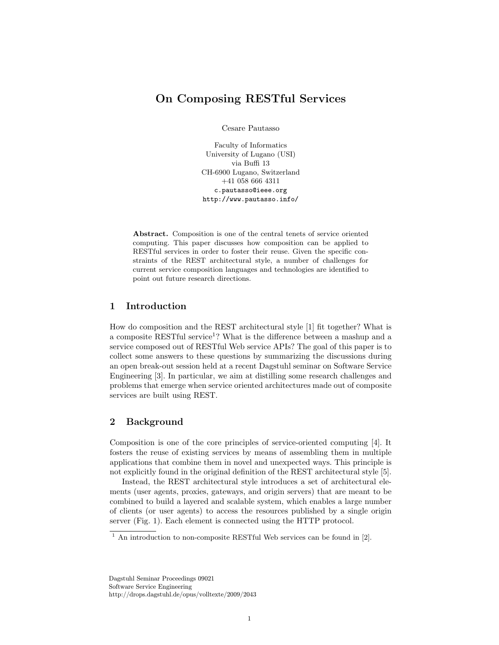# On Composing RESTful Services

Cesare Pautasso

Faculty of Informatics University of Lugano (USI) via Buffi 13 CH-6900 Lugano, Switzerland +41 058 666 4311 c.pautasso@ieee.org http://www.pautasso.info/

Abstract. Composition is one of the central tenets of service oriented computing. This paper discusses how composition can be applied to RESTful services in order to foster their reuse. Given the specific constraints of the REST architectural style, a number of challenges for current service composition languages and technologies are identified to point out future research directions.

# 1 Introduction

How do composition and the REST architectural style [\[1\]](#page-5-0) fit together? What is a composite RESTful service<sup>[1](#page-0-0)</sup>? What is the difference between a mashup and a service composed out of RESTful Web service APIs? The goal of this paper is to collect some answers to these questions by summarizing the discussions during an open break-out session held at a recent Dagstuhl seminar on Software Service Engineering [\[3\]](#page-5-1). In particular, we aim at distilling some research challenges and problems that emerge when service oriented architectures made out of composite services are built using REST.

## 2 Background

Composition is one of the core principles of service-oriented computing [\[4\]](#page-5-2). It fosters the reuse of existing services by means of assembling them in multiple applications that combine them in novel and unexpected ways. This principle is not explicitly found in the original definition of the REST architectural style [\[5\]](#page-5-3).

Instead, the REST architectural style introduces a set of architectural elements (user agents, proxies, gateways, and origin servers) that are meant to be combined to build a layered and scalable system, which enables a large number of clients (or user agents) to access the resources published by a single origin server (Fig. [1\)](#page-1-0). Each element is connected using the HTTP protocol.

Dagstuhl Seminar Proceedings 09021 Software Service Engineering http://drops.dagstuhl.de/opus/volltexte/2009/2043

<span id="page-0-0"></span> $1$  An introduction to non-composite RESTful Web services can be found in [\[2\]](#page-5-4).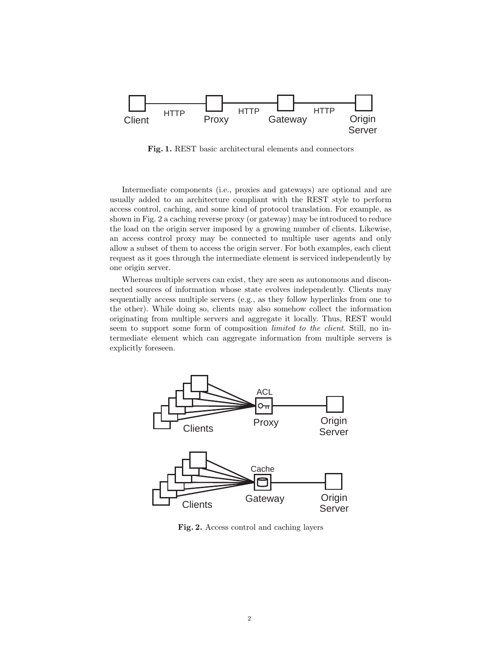

<span id="page-1-0"></span>Fig. 1. REST basic architectural elements and connectors

Intermediate components (i.e., proxies and gateways) are optional and are usually added to an architecture compliant with the REST style to perform access control, caching, and some kind of protocol translation. For example, as shown in Fig. [2](#page-1-1) a caching reverse proxy (or gateway) may be introduced to reduce the load on the origin server imposed by a growing number of clients. Likewise, an access control proxy may be connected to multiple user agents and only allow a subset of them to access the origin server. For both examples, each client request as it goes through the intermediate element is serviced independently by one origin server.

Whereas multiple servers can exist, they are seen as autonomous and disconnected sources of information whose state evolves independently. Clients may sequentially access multiple servers (e.g., as they follow hyperlinks from one to the other). While doing so, clients may also somehow collect the information originating from multiple servers and aggregate it locally. Thus, REST would seem to support some form of composition *limited to the client*. Still, no intermediate element which can aggregate information from multiple servers is explicitly foreseen.



<span id="page-1-1"></span>Fig. 2. Access control and caching layers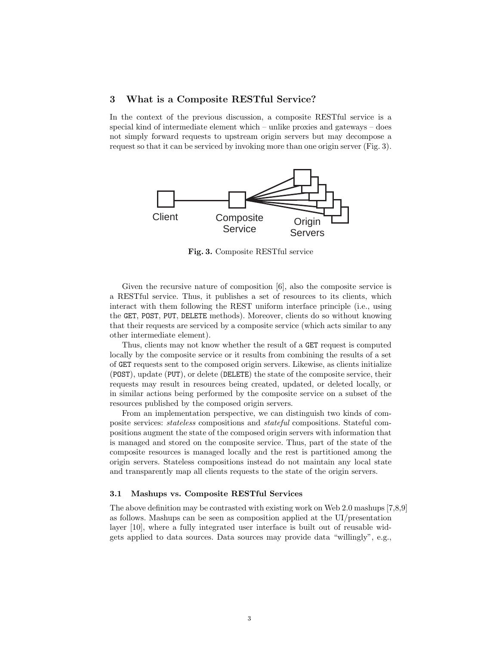### 3 What is a Composite RESTful Service?

In the context of the previous discussion, a composite RESTful service is a special kind of intermediate element which – unlike proxies and gateways – does not simply forward requests to upstream origin servers but may decompose a request so that it can be serviced by invoking more than one origin server (Fig. [3\)](#page-2-0).



<span id="page-2-0"></span>Fig. 3. Composite RESTful service

Given the recursive nature of composition [\[6\]](#page-5-5), also the composite service is a RESTful service. Thus, it publishes a set of resources to its clients, which interact with them following the REST uniform interface principle (i.e., using the GET, POST, PUT, DELETE methods). Moreover, clients do so without knowing that their requests are serviced by a composite service (which acts similar to any other intermediate element).

Thus, clients may not know whether the result of a GET request is computed locally by the composite service or it results from combining the results of a set of GET requests sent to the composed origin servers. Likewise, as clients initialize (POST), update (PUT), or delete (DELETE) the state of the composite service, their requests may result in resources being created, updated, or deleted locally, or in similar actions being performed by the composite service on a subset of the resources published by the composed origin servers.

From an implementation perspective, we can distinguish two kinds of composite services: stateless compositions and stateful compositions. Stateful compositions augment the state of the composed origin servers with information that is managed and stored on the composite service. Thus, part of the state of the composite resources is managed locally and the rest is partitioned among the origin servers. Stateless compositions instead do not maintain any local state and transparently map all clients requests to the state of the origin servers.

#### 3.1 Mashups vs. Composite RESTful Services

The above definition may be contrasted with existing work on Web 2.0 mashups [\[7,](#page-5-6)[8,](#page-6-0)[9\]](#page-6-1) as follows. Mashups can be seen as composition applied at the UI/presentation layer [\[10\]](#page-6-2), where a fully integrated user interface is built out of reusable widgets applied to data sources. Data sources may provide data "willingly", e.g.,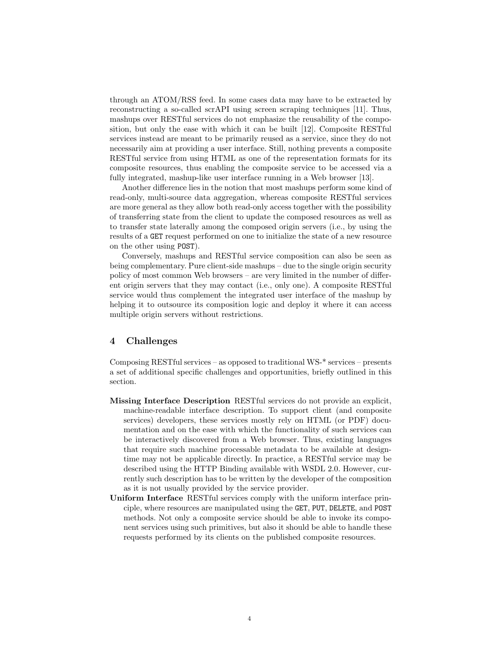through an ATOM/RSS feed. In some cases data may have to be extracted by reconstructing a so-called scrAPI using screen scraping techniques [\[11\]](#page-6-3). Thus, mashups over RESTful services do not emphasize the reusability of the composition, but only the ease with which it can be built [\[12\]](#page-6-4). Composite RESTful services instead are meant to be primarily reused as a service, since they do not necessarily aim at providing a user interface. Still, nothing prevents a composite RESTful service from using HTML as one of the representation formats for its composite resources, thus enabling the composite service to be accessed via a fully integrated, mashup-like user interface running in a Web browser [\[13\]](#page-6-5).

Another difference lies in the notion that most mashups perform some kind of read-only, multi-source data aggregation, whereas composite RESTful services are more general as they allow both read-only access together with the possibility of transferring state from the client to update the composed resources as well as to transfer state laterally among the composed origin servers (i.e., by using the results of a GET request performed on one to initialize the state of a new resource on the other using POST).

Conversely, mashups and RESTful service composition can also be seen as being complementary. Pure client-side mashups – due to the single origin security policy of most common Web browsers – are very limited in the number of different origin servers that they may contact (i.e., only one). A composite RESTful service would thus complement the integrated user interface of the mashup by helping it to outsource its composition logic and deploy it where it can access multiple origin servers without restrictions.

### 4 Challenges

Composing RESTful services – as opposed to traditional WS-\* services – presents a set of additional specific challenges and opportunities, briefly outlined in this section.

- Missing Interface Description RESTful services do not provide an explicit, machine-readable interface description. To support client (and composite services) developers, these services mostly rely on HTML (or PDF) documentation and on the ease with which the functionality of such services can be interactively discovered from a Web browser. Thus, existing languages that require such machine processable metadata to be available at designtime may not be applicable directly. In practice, a RESTful service may be described using the HTTP Binding available with WSDL 2.0. However, currently such description has to be written by the developer of the composition as it is not usually provided by the service provider.
- Uniform Interface RESTful services comply with the uniform interface principle, where resources are manipulated using the GET, PUT, DELETE, and POST methods. Not only a composite service should be able to invoke its component services using such primitives, but also it should be able to handle these requests performed by its clients on the published composite resources.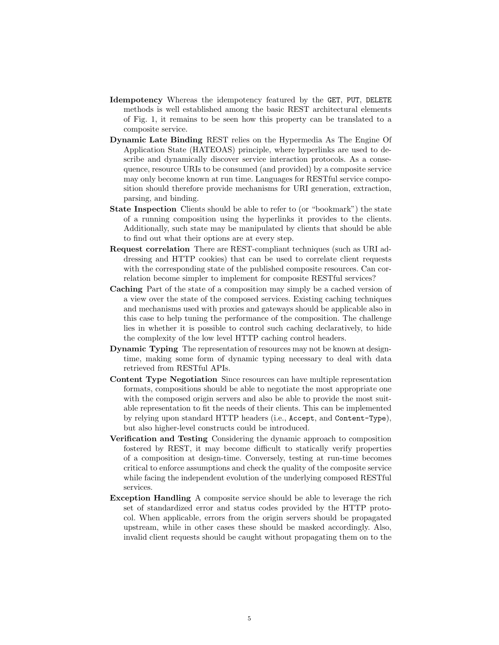- Idempotency Whereas the idempotency featured by the GET, PUT, DELETE methods is well established among the basic REST architectural elements of Fig. [1,](#page-1-0) it remains to be seen how this property can be translated to a composite service.
- Dynamic Late Binding REST relies on the Hypermedia As The Engine Of Application State (HATEOAS) principle, where hyperlinks are used to describe and dynamically discover service interaction protocols. As a consequence, resource URIs to be consumed (and provided) by a composite service may only become known at run time. Languages for RESTful service composition should therefore provide mechanisms for URI generation, extraction, parsing, and binding.
- State Inspection Clients should be able to refer to (or "bookmark") the state of a running composition using the hyperlinks it provides to the clients. Additionally, such state may be manipulated by clients that should be able to find out what their options are at every step.
- Request correlation There are REST-compliant techniques (such as URI addressing and HTTP cookies) that can be used to correlate client requests with the corresponding state of the published composite resources. Can correlation become simpler to implement for composite RESTful services?
- Caching Part of the state of a composition may simply be a cached version of a view over the state of the composed services. Existing caching techniques and mechanisms used with proxies and gateways should be applicable also in this case to help tuning the performance of the composition. The challenge lies in whether it is possible to control such caching declaratively, to hide the complexity of the low level HTTP caching control headers.
- Dynamic Typing The representation of resources may not be known at designtime, making some form of dynamic typing necessary to deal with data retrieved from RESTful APIs.
- Content Type Negotiation Since resources can have multiple representation formats, compositions should be able to negotiate the most appropriate one with the composed origin servers and also be able to provide the most suitable representation to fit the needs of their clients. This can be implemented by relying upon standard HTTP headers (i.e., Accept, and Content-Type), but also higher-level constructs could be introduced.
- Verification and Testing Considering the dynamic approach to composition fostered by REST, it may become difficult to statically verify properties of a composition at design-time. Conversely, testing at run-time becomes critical to enforce assumptions and check the quality of the composite service while facing the independent evolution of the underlying composed RESTful services.
- Exception Handling A composite service should be able to leverage the rich set of standardized error and status codes provided by the HTTP protocol. When applicable, errors from the origin servers should be propagated upstream, while in other cases these should be masked accordingly. Also, invalid client requests should be caught without propagating them on to the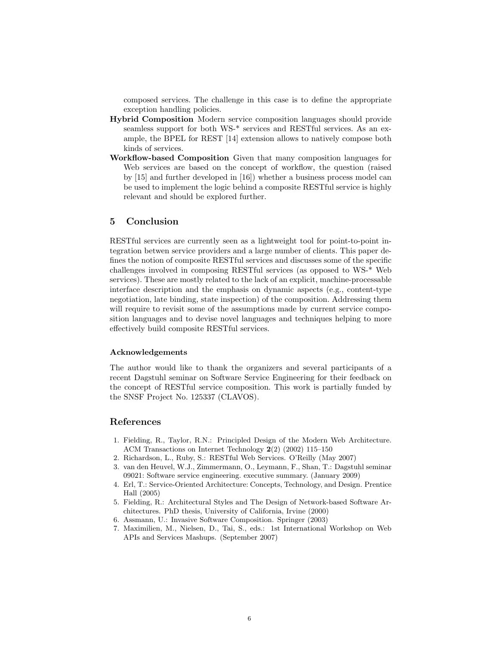composed services. The challenge in this case is to define the appropriate exception handling policies.

- Hybrid Composition Modern service composition languages should provide seamless support for both WS-\* services and RESTful services. As an example, the BPEL for REST [\[14\]](#page-6-6) extension allows to natively compose both kinds of services.
- Workflow-based Composition Given that many composition languages for Web services are based on the concept of workflow, the question (raised by [\[15\]](#page-6-7) and further developed in [\[16\]](#page-6-8)) whether a business process model can be used to implement the logic behind a composite RESTful service is highly relevant and should be explored further.

### 5 Conclusion

RESTful services are currently seen as a lightweight tool for point-to-point integration betwen service providers and a large number of clients. This paper defines the notion of composite RESTful services and discusses some of the specific challenges involved in composing RESTful services (as opposed to WS-\* Web services). These are mostly related to the lack of an explicit, machine-processable interface description and the emphasis on dynamic aspects (e.g., content-type negotiation, late binding, state inspection) of the composition. Addressing them will require to revisit some of the assumptions made by current service composition languages and to devise novel languages and techniques helping to more effectively build composite RESTful services.

#### Acknowledgements

The author would like to thank the organizers and several participants of a recent Dagstuhl seminar on Software Service Engineering for their feedback on the concept of RESTful service composition. This work is partially funded by the SNSF Project No. 125337 (CLAVOS).

### References

- <span id="page-5-0"></span>1. Fielding, R., Taylor, R.N.: Principled Design of the Modern Web Architecture. ACM Transactions on Internet Technology 2(2) (2002) 115–150
- <span id="page-5-4"></span>2. Richardson, L., Ruby, S.: RESTful Web Services. O'Reilly (May 2007)
- <span id="page-5-1"></span>3. van den Heuvel, W.J., Zimmermann, O., Leymann, F., Shan, T.: Dagstuhl seminar 09021: Software service engineering. executive summary. (January 2009)
- <span id="page-5-2"></span>4. Erl, T.: Service-Oriented Architecture: Concepts, Technology, and Design. Prentice Hall (2005)
- <span id="page-5-3"></span>5. Fielding, R.: Architectural Styles and The Design of Network-based Software Architectures. PhD thesis, University of California, Irvine (2000)
- <span id="page-5-5"></span>6. Assmann, U.: Invasive Software Composition. Springer (2003)
- <span id="page-5-6"></span>7. Maximilien, M., Nielsen, D., Tai, S., eds.: 1st International Workshop on Web APIs and Services Mashups. (September 2007)